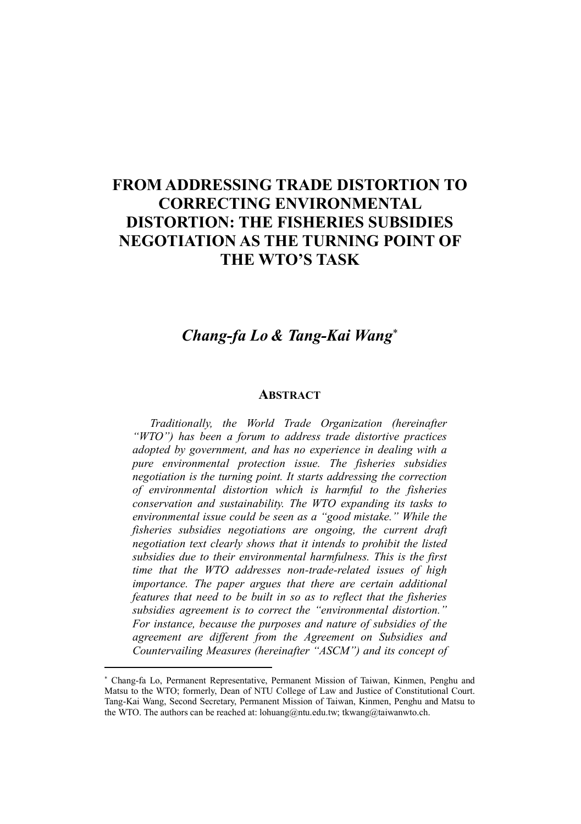## FROM ADDRESSING TRADE DISTORTION TO CORRECTING ENVIRONMENTAL DISTORTION: THE FISHERIES SUBSIDIES NEGOTIATION AS THE TURNING POINT OF THE WTO'S TASK

## *Chang-fa Lo & Tang-Kai Wang*

## ABSTRACT

*Traditionally, the World Trade Organization (hereinafter "WTO") has been a forum to address trade distortive practices adopted by government, and has no experience in dealing with a pure environmental protection issue. The fisheries subsidies negotiation is the turning point. It starts addressing the correction of environmental distortion which is harmful to the fisheries conservation and sustainability. The WTO expanding its tasks to environmental issue could be seen as a "good mistake." While the fisheries subsidies negotiations are ongoing, the current draft negotiation text clearly shows that it intends to prohibit the listed subsidies due to their environmental harmfulness. This is the first time that the WTO addresses non-trade-related issues of high importance. The paper argues that there are certain additional features that need to be built in so as to reflect that the fisheries subsidies agreement is to correct the "environmental distortion." For instance, because the purposes and nature of subsidies of the agreement are different from the Agreement on Subsidies and Countervailing Measures (hereinafter "ASCM") and its concept of* 

 $\overline{a}$ 

Chang-fa Lo, Permanent Representative, Permanent Mission of Taiwan, Kinmen, Penghu and Matsu to the WTO; formerly, Dean of NTU College of Law and Justice of Constitutional Court. Tang-Kai Wang, Second Secretary, Permanent Mission of Taiwan, Kinmen, Penghu and Matsu to the WTO. The authors can be reached at: lohuang@ntu.edu.tw; tkwang@taiwanwto.ch.